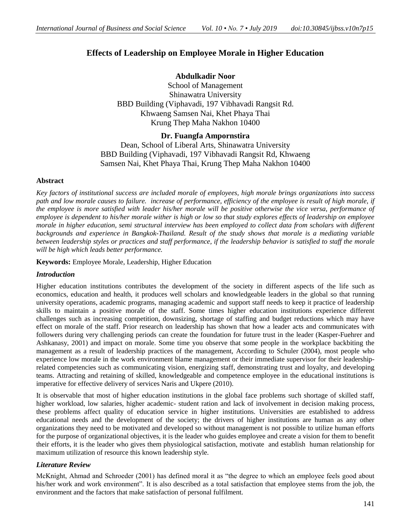# **Effects of Leadership on Employee Morale in Higher Education**

## **Abdulkadir Noor**

School of Management Shinawatra University BBD Building (Viphavadi, 197 Vibhavadi Rangsit Rd. Khwaeng Samsen Nai, Khet Phaya Thai Krung Thep Maha Nakhon 10400

## **Dr. Fuangfa Ampornstira**

Dean, School of Liberal Arts, Shinawatra University BBD Building (Viphavadi, 197 Vibhavadi Rangsit Rd, Khwaeng Samsen Nai, Khet Phaya Thai, Krung Thep Maha Nakhon 10400

### **Abstract**

*Key factors of institutional success are included morale of employees, high morale brings organizations into success path and low morale causes to failure. increase of performance, efficiency of the employee is result of high morale, if the employee is more satisfied with leader his/her morale will be positive otherwise the vice versa, performance of employee is dependent to his/her morale wither is high or low so that study explores effects of leadership on employee morale in higher education, semi structural interview has been employed to collect data from scholars with different*  backgrounds and experience in Bangkok-Thailand. Result of the study shows that morale is a mediating variable *between leadership styles or practices and staff performance, if the leadership behavior is satisfied to staff the morale will be high which leads better performance.*

**Keywords:** Employee Morale, Leadership, Higher Education

#### *Introduction*

Higher education institutions contributes the development of the society in different aspects of the life such as economics, education and health, it produces well scholars and knowledgeable leaders in the global so that running university operations, academic programs, managing academic and support staff needs to keep it practice of leadership skills to maintain a positive morale of the staff. Some times higher education institutions experience different challenges such as increasing competition, downsizing, shortage of staffing and budget reductions which may have effect on morale of the staff. Prior research on leadership has shown that how a leader acts and communicates with followers during very challenging periods can create the foundation for future trust in the leader (Kasper-Fuehrer and Ashkanasy, 2001) and impact on morale. Some time you observe that some people in the workplace backbiting the management as a result of leadership practices of the management, According to Schuler (2004), most people who experience low morale in the work environment blame management or their immediate supervisor for their leadershiprelated competencies such as communicating vision, energizing staff, demonstrating trust and loyalty, and developing teams. Attracting and retaining of skilled, knowledgeable and competence employee in the educational institutions is imperative for effective delivery of services Naris and Ukpere (2010).

It is observable that most of higher education institutions in the global face problems such shortage of skilled staff, higher workload, low salaries, higher academic- student ration and lack of involvement in decision making process, these problems affect quality of education service in higher institutions. Universities are established to address educational needs and the development of the society; the drivers of higher institutions are human as any other organizations they need to be motivated and developed so without management is not possible to utilize human efforts for the purpose of organizational objectives, it is the leader who guides employee and create a vision for them to benefit their efforts, it is the leader who gives them physiological satisfaction, motivate and establish human relationship for maximum utilization of resource this known leadership style.

#### *Literature Review*

McKnight, Ahmad and Schroeder (2001) has defined moral it as "the degree to which an employee feels good about his/her work and work environment". It is also described as a total satisfaction that employee stems from the job, the environment and the factors that make satisfaction of personal fulfilment.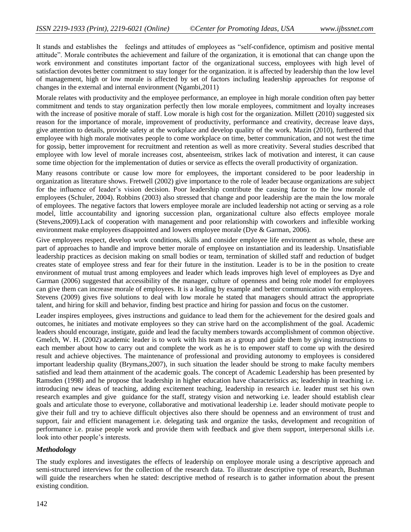It stands and establishes the feelings and attitudes of employees as "self-confidence, optimism and positive mental attitude‖. Morale contributes the achievement and failure of the organization, it is emotional that can change upon the work environment and constitutes important factor of the organizational success, employees with high level of satisfaction devotes better commitment to stay longer for the organization. it is affected by leadership than the low level of management, high or low morale is affected by set of factors including leadership approaches for response of changes in the external and internal environment (Ngambi,2011)

Morale relates with productivity and the employee performance, an employee in high morale condition often pay better commitment and tends to stay organization perfectly then low morale employees, commitment and loyalty increases with the increase of positive morale of staff. Low morale is high cost for the organization. Millett (2010) suggested six reason for the importance of morale, improvement of productivity, performance and creativity, decrease leave days, give attention to details, provide safety at the workplace and develop quality of the work. Mazin (2010), furthered that employee with high morale motivates people to come workplace on time, better communication, and not west the time for gossip, better improvement for recruitment and retention as well as more creativity. Several studies described that employee with low level of morale increases cost, absenteeism, strikes lack of motivation and interest, it can cause some time objection for the implementation of duties or service as effects the overall productivity of organization.

Many reasons contribute or cause low more for employees, the important considered to be poor leadership in organization as literature shows. Fretwell (2002) give importance to the role of leader because organizations are subject for the influence of leader's vision decision. Poor leadership contribute the causing factor to the low morale of employees (Schuler, 2004). Robbins (2003) also stressed that change and poor leadership are the main the low morale of employees. The negative factors that lowers employee morale are included leadership not acting or serving as a role model, little accountability and ignoring succession plan, organizational culture also effects employee morale (Stevens,2009).Lack of cooperation with management and poor relationship with coworkers and inflexible working environment make employees disappointed and lowers employee morale (Dye & Garman, 2006).

Give employees respect, develop work conditions, skills and consider employee life environment as whole, these are part of approaches to handle and improve better morale of employee on instantiation and its leadership. Unsatisfiable leadership practices as decision making on small bodies or team, termination of skilled staff and reduction of budget creates state of employee stress and fear for their future in the institution. Leader is to be in the position to create environment of mutual trust among employees and leader which leads improves high level of employees as Dye and Garman (2006) suggested that accessibility of the manager, culture of openness and being role model for employees can give them can increase morale of employees. It is a leading by example and better communication with employees. Stevens (2009) gives five solutions to deal with low morale he stated that managers should attract the appropriate talent, and hiring for skill and behavior, finding best practice and hiring for passion and focus on the customer.

Leader inspires employees, gives instructions and guidance to lead them for the achievement for the desired goals and outcomes, he initiates and motivate employees so they can strive hard on the accomplishment of the goal. Academic leaders should encourage, instigate, guide and lead the faculty members towards accomplishment of common objective. Gmelch, W. H. (2002) academic leader is to work with his team as a group and guide them by giving instructions to each member about how to carry out and complete the work as he is to empower staff to come up with the desired result and achieve objectives. The maintenance of professional and providing autonomy to employees is considered important leadership quality (Brymans,2007), in such situation the leader should be strong to make faculty members satisfied and lead them attainment of the academic goals. The concept of Academic Leadership has been presented by Ramsden (1998) and he propose that leadership in higher education have characteristics as; leadership in teaching i.e. introducing new ideas of teaching, adding excitement teaching, leadership in research i.e. leader must set his own research examples and give guidance for the staff, strategy vision and networking i.e. leader should establish clear goals and articulate those to everyone, collaborative and motivational leadership i.e. leader should motivate people to give their full and try to achieve difficult objectives also there should be openness and an environment of trust and support, fair and efficient management i.e. delegating task and organize the tasks, development and recognition of performance i.e. praise people work and provide them with feedback and give them support, interpersonal skills i.e. look into other people's interests.

#### *Methodology*

The study explores and investigates the effects of leadership on employee morale using a descriptive approach and semi-structured interviews for the collection of the research data. To illustrate descriptive type of research, Bushman will guide the researchers when he stated: descriptive method of research is to gather information about the present existing condition.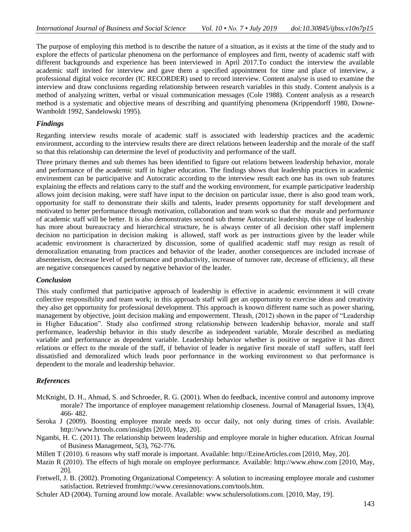The purpose of employing this method is to describe the nature of a situation, as it exists at the time of the study and to explore the effects of particular phenomena on the performance of employees and firm, twenty of academic staff with different backgrounds and experience has been interviewed in April 2017.To conduct the interview the available academic staff invited for interview and gave them a specified appointment for time and place of interview, a professional digital voice recorder (IC RECORDER) used to record interview. Content analyse is used to examine the interview and draw conclusions regarding relationship between research variables in this study. Content analysis is a method of analyzing written, verbal or visual communication messages (Cole 1988). Content analysis as a research method is a systematic and objective means of describing and quantifying phenomena (Krippendorff 1980, Downe-Wamboldt 1992, Sandelowski 1995).

#### *Findings*

Regarding interview results morale of academic staff is associated with leadership practices and the academic environment, according to the interview results there are direct relations between leadership and the morale of the staff so that this relationship can determine the level of productivity and performance of the staff.

Three primary themes and sub themes has been identified to figure out relations between leadership behavior, morale and performance of the academic staff in higher education. The findings shows that leadership practices in academic environment can be participative and Autocratic according to the interview result each one has its own sub features explaining the effects and relations carry to the staff and the working environment, for example participative leadership allows joint decision making, were staff have input to the decision on particular issue, there is also good team work, opportunity for staff to demonstrate their skills and talents, leader presents opportunity for staff development and motivated to better performance through motivation, collaboration and team work so that the morale and performance of academic staff will be better. It is also demonstrates second sub theme Autocratic leadership, this type of leadership has more about bureaucracy and hierarchical structure, he is always center of all decision other staff implement decision no participation in decision making is allowed, staff work as per instructions given by the leader while academic environment is characterized by discussion, some of qualified academic staff may resign as result of demoralization emanating from practices and behavior of the leader, another consequences are included increase of absenteeism, decrease level of performance and productivity, increase of turnover rate, decrease of efficiency, all these are negative consequences caused by negative behavior of the leader.

#### *Conclusion*

This study confirmed that participative approach of leadership is effective in academic environment it will create collective responsibility and team work; in this approach staff will get an opportunity to exercise ideas and creativity they also get opportunity for professional development. This approach is known different name such as power sharing, management by objective, joint decision making and empowerment. Thrash, (2012) shown in the paper of "Leadership" in Higher Education". Study also confirmed strong relationship between leadership behavior, morale and staff performance, leadership behavior in this study describe as independent variable, Morale described as mediating variable and performance as dependent variable. Leadership behavior whether is positive or negative it has direct relations or effect to the morale of the staff, if behavior of leader is negative first morale of staff suffers, staff feel dissatisfied and demoralized which leads poor performance in the working environment so that performance is dependent to the morale and leadership behavior.

#### *References*

- McKnight, D. H., Ahmad, S. and Schroeder, R. G. (2001). When do feedback, incentive control and autonomy improve morale? The importance of employee management relationship closeness. Journal of Managerial Issues, 13(4), 466- 482.
- Seroka J (2009). Boosting employee morale needs to occur daily, not only during times of crisis. Available: http://www.hrtools.com/insights [2010, May, 20].
- Ngambi, H. C. (2011). The relationship between leadership and employee morale in higher education. African Journal of Business Management, 5(3), 762-776.
- Millett T (2010). 6 reasons why staff morale is important. Available: http://EzineArticles.com [2010, May, 20].
- Mazin R (2010). The effects of high morale on employee performance. Available: http://www.ehow.com [2010, May, 20].
- Fretwell, J. B. (2002). Promoting Organizational Competency: A solution to increasing employee morale and customer satisfaction. Retrieved fro[mhttp://www.ceresinnovations.com/tools.htm.](http://www.ceresinnovations.com/tools.htm)
- Schuler AD (2004). Turning around low morale. Available: www.schulersolutions.com. [2010, May, 19].